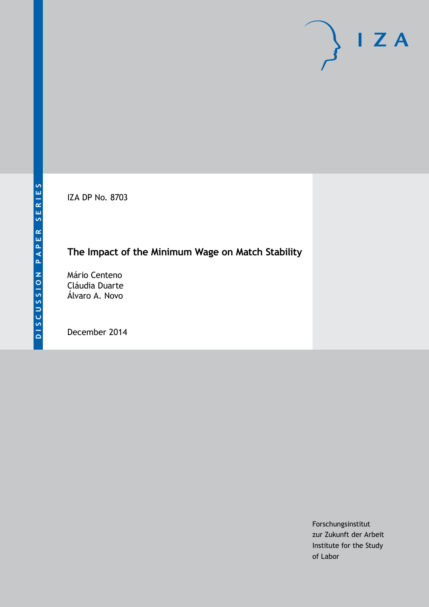IZA DP No. 8703

# **The Impact of the Minimum Wage on Match Stability**

Mário Centeno Cláudia Duarte Álvaro A. Novo

December 2014

Forschungsinstitut zur Zukunft der Arbeit Institute for the Study of Labor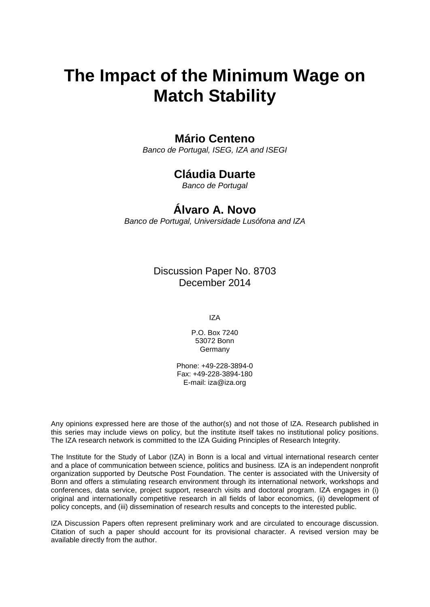# **The Impact of the Minimum Wage on Match Stability**

# **Mário Centeno**

*Banco de Portugal, ISEG, IZA and ISEGI*

# **Cláudia Duarte**

*Banco de Portugal*

# **Álvaro A. Novo**

*Banco de Portugal, Universidade Lusófona and IZA*

Discussion Paper No. 8703 December 2014

IZA

P.O. Box 7240 53072 Bonn Germany

Phone: +49-228-3894-0 Fax: +49-228-3894-180 E-mail: [iza@iza.org](mailto:iza@iza.org)

Any opinions expressed here are those of the author(s) and not those of IZA. Research published in this series may include views on policy, but the institute itself takes no institutional policy positions. The IZA research network is committed to the IZA Guiding Principles of Research Integrity.

The Institute for the Study of Labor (IZA) in Bonn is a local and virtual international research center and a place of communication between science, politics and business. IZA is an independent nonprofit organization supported by Deutsche Post Foundation. The center is associated with the University of Bonn and offers a stimulating research environment through its international network, workshops and conferences, data service, project support, research visits and doctoral program. IZA engages in (i) original and internationally competitive research in all fields of labor economics, (ii) development of policy concepts, and (iii) dissemination of research results and concepts to the interested public.

IZA Discussion Papers often represent preliminary work and are circulated to encourage discussion. Citation of such a paper should account for its provisional character. A revised version may be available directly from the author.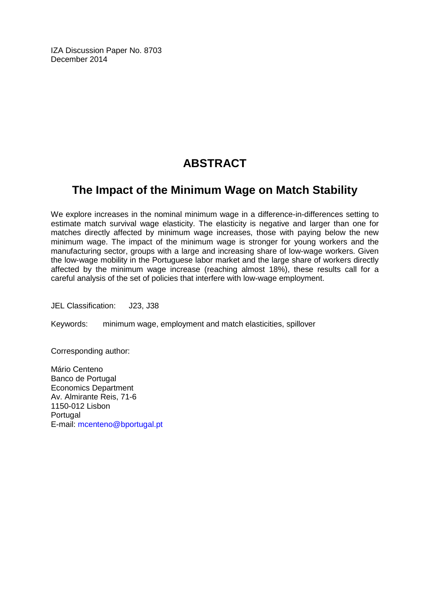IZA Discussion Paper No. 8703 December 2014

# **ABSTRACT**

# **The Impact of the Minimum Wage on Match Stability**

We explore increases in the nominal minimum wage in a difference-in-differences setting to estimate match survival wage elasticity. The elasticity is negative and larger than one for matches directly affected by minimum wage increases, those with paying below the new minimum wage. The impact of the minimum wage is stronger for young workers and the manufacturing sector, groups with a large and increasing share of low-wage workers. Given the low-wage mobility in the Portuguese labor market and the large share of workers directly affected by the minimum wage increase (reaching almost 18%), these results call for a careful analysis of the set of policies that interfere with low-wage employment.

JEL Classification: J23, J38

Keywords: minimum wage, employment and match elasticities, spillover

Corresponding author:

Mário Centeno Banco de Portugal Economics Department Av. Almirante Reis, 71-6 1150-012 Lisbon **Portugal** E-mail: [mcenteno@bportugal.pt](mailto:mcenteno@bportugal.pt)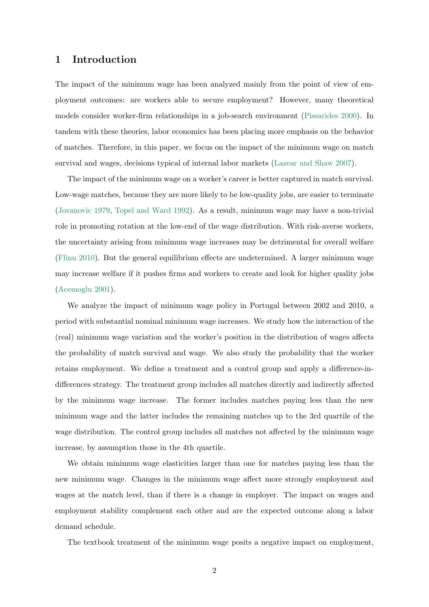### 1 Introduction

The impact of the minimum wage has been analyzed mainly from the point of view of employment outcomes: are workers able to secure employment? However, many theoretical models consider worker-firm relationships in a job-search environment [\(Pissarides](#page-18-0) [2000\)](#page-18-0). In tandem with these theories, labor economics has been placing more emphasis on the behavior of matches. Therefore, in this paper, we focus on the impact of the minimum wage on match survival and wages, decisions typical of internal labor markets [\(Lazear and Shaw](#page-18-1) [2007\)](#page-18-1).

The impact of the minimum wage on a worker's career is better captured in match survival. Low-wage matches, because they are more likely to be low-quality jobs, are easier to terminate [\(Jovanovic](#page-18-2) [1979,](#page-18-2) [Topel and Ward](#page-18-3) [1992\)](#page-18-3). As a result, minimum wage may have a non-trivial role in promoting rotation at the low-end of the wage distribution. With risk-averse workers, the uncertainty arising from minimum wage increases may be detrimental for overall welfare [\(Flinn](#page-17-0) [2010\)](#page-17-0). But the general equilibrium effects are undetermined. A larger minimum wage may increase welfare if it pushes firms and workers to create and look for higher quality jobs [\(Acemoglu](#page-17-1) [2001\)](#page-17-1).

We analyze the impact of minimum wage policy in Portugal between 2002 and 2010, a period with substantial nominal minimum wage increases. We study how the interaction of the (real) minimum wage variation and the worker's position in the distribution of wages affects the probability of match survival and wage. We also study the probability that the worker retains employment. We define a treatment and a control group and apply a difference-indifferences strategy. The treatment group includes all matches directly and indirectly affected by the minimum wage increase. The former includes matches paying less than the new minimum wage and the latter includes the remaining matches up to the 3rd quartile of the wage distribution. The control group includes all matches not affected by the minimum wage increase, by assumption those in the 4th quartile.

We obtain minimum wage elasticities larger than one for matches paying less than the new minimum wage. Changes in the minimum wage affect more strongly employment and wages at the match level, than if there is a change in employer. The impact on wages and employment stability complement each other and are the expected outcome along a labor demand schedule.

The textbook treatment of the minimum wage posits a negative impact on employment,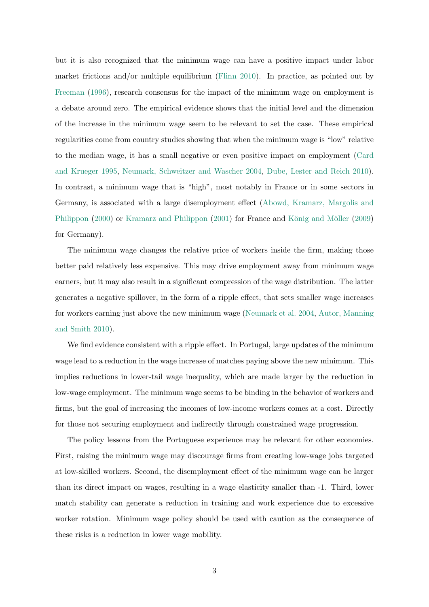but it is also recognized that the minimum wage can have a positive impact under labor market frictions and/or multiple equilibrium [\(Flinn](#page-17-0) [2010\)](#page-17-0). In practice, as pointed out by [Freeman](#page-17-2) [\(1996\)](#page-17-2), research consensus for the impact of the minimum wage on employment is a debate around zero. The empirical evidence shows that the initial level and the dimension of the increase in the minimum wage seem to be relevant to set the case. These empirical regularities come from country studies showing that when the minimum wage is "low" relative to the median wage, it has a small negative or even positive impact on employment [\(Card](#page-17-3) [and Krueger](#page-17-3) [1995,](#page-17-3) [Neumark, Schweitzer and Wascher](#page-18-4) [2004,](#page-18-4) [Dube, Lester and Reich](#page-17-4) [2010\)](#page-17-4). In contrast, a minimum wage that is "high", most notably in France or in some sectors in Germany, is associated with a large disemployment effect [\(Abowd, Kramarz, Margolis and](#page-17-5) [Philippon](#page-17-5) [\(2000\)](#page-17-5) or [Kramarz and Philippon](#page-18-5) [\(2001\)](#page-18-5) for France and König and Möller [\(2009\)](#page-18-6) for Germany).

The minimum wage changes the relative price of workers inside the firm, making those better paid relatively less expensive. This may drive employment away from minimum wage earners, but it may also result in a significant compression of the wage distribution. The latter generates a negative spillover, in the form of a ripple effect, that sets smaller wage increases for workers earning just above the new minimum wage [\(Neumark et al.](#page-18-4) [2004,](#page-18-4) [Autor, Manning](#page-17-6) [and Smith](#page-17-6) [2010\)](#page-17-6).

We find evidence consistent with a ripple effect. In Portugal, large updates of the minimum wage lead to a reduction in the wage increase of matches paying above the new minimum. This implies reductions in lower-tail wage inequality, which are made larger by the reduction in low-wage employment. The minimum wage seems to be binding in the behavior of workers and firms, but the goal of increasing the incomes of low-income workers comes at a cost. Directly for those not securing employment and indirectly through constrained wage progression.

The policy lessons from the Portuguese experience may be relevant for other economies. First, raising the minimum wage may discourage firms from creating low-wage jobs targeted at low-skilled workers. Second, the disemployment effect of the minimum wage can be larger than its direct impact on wages, resulting in a wage elasticity smaller than -1. Third, lower match stability can generate a reduction in training and work experience due to excessive worker rotation. Minimum wage policy should be used with caution as the consequence of these risks is a reduction in lower wage mobility.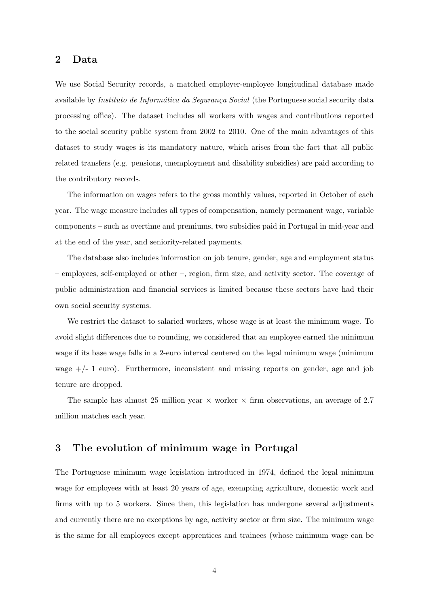### 2 Data

We use Social Security records, a matched employer-employee longitudinal database made available by *Instituto de Informática da Segurança Social* (the Portuguese social security data processing office). The dataset includes all workers with wages and contributions reported to the social security public system from 2002 to 2010. One of the main advantages of this dataset to study wages is its mandatory nature, which arises from the fact that all public related transfers (e.g. pensions, unemployment and disability subsidies) are paid according to the contributory records.

The information on wages refers to the gross monthly values, reported in October of each year. The wage measure includes all types of compensation, namely permanent wage, variable components – such as overtime and premiums, two subsidies paid in Portugal in mid-year and at the end of the year, and seniority-related payments.

The database also includes information on job tenure, gender, age and employment status – employees, self-employed or other –, region, firm size, and activity sector. The coverage of public administration and financial services is limited because these sectors have had their own social security systems.

We restrict the dataset to salaried workers, whose wage is at least the minimum wage. To avoid slight differences due to rounding, we considered that an employee earned the minimum wage if its base wage falls in a 2-euro interval centered on the legal minimum wage (minimum wage  $+/- 1$  euro). Furthermore, inconsistent and missing reports on gender, age and job tenure are dropped.

The sample has almost 25 million year  $\times$  worker  $\times$  firm observations, an average of 2.7 million matches each year.

### 3 The evolution of minimum wage in Portugal

The Portuguese minimum wage legislation introduced in 1974, defined the legal minimum wage for employees with at least 20 years of age, exempting agriculture, domestic work and firms with up to 5 workers. Since then, this legislation has undergone several adjustments and currently there are no exceptions by age, activity sector or firm size. The minimum wage is the same for all employees except apprentices and trainees (whose minimum wage can be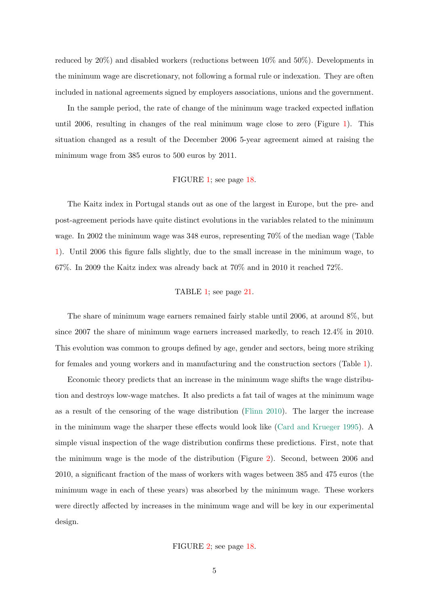reduced by 20%) and disabled workers (reductions between 10% and 50%). Developments in the minimum wage are discretionary, not following a formal rule or indexation. They are often included in national agreements signed by employers associations, unions and the government.

In the sample period, the rate of change of the minimum wage tracked expected inflation until 2006, resulting in changes of the real minimum wage close to zero (Figure [1\)](#page-19-0). This situation changed as a result of the December 2006 5-year agreement aimed at raising the minimum wage from 385 euros to 500 euros by 2011.

#### FIGURE [1;](#page-19-0) see page [18.](#page-19-0)

The Kaitz index in Portugal stands out as one of the largest in Europe, but the pre- and post-agreement periods have quite distinct evolutions in the variables related to the minimum wage. In 2002 the minimum wage was 348 euros, representing 70% of the median wage (Table [1\)](#page-22-0). Until 2006 this figure falls slightly, due to the small increase in the minimum wage, to 67%. In 2009 the Kaitz index was already back at 70% and in 2010 it reached 72%.

### TABLE [1;](#page-22-0) see page [21.](#page-22-0)

The share of minimum wage earners remained fairly stable until 2006, at around 8%, but since 2007 the share of minimum wage earners increased markedly, to reach 12.4% in 2010. This evolution was common to groups defined by age, gender and sectors, being more striking for females and young workers and in manufacturing and the construction sectors (Table [1\)](#page-22-0).

Economic theory predicts that an increase in the minimum wage shifts the wage distribution and destroys low-wage matches. It also predicts a fat tail of wages at the minimum wage as a result of the censoring of the wage distribution [\(Flinn](#page-17-0) [2010\)](#page-17-0). The larger the increase in the minimum wage the sharper these effects would look like [\(Card and Krueger](#page-17-3) [1995\)](#page-17-3). A simple visual inspection of the wage distribution confirms these predictions. First, note that the minimum wage is the mode of the distribution (Figure [2\)](#page-19-1). Second, between 2006 and 2010, a significant fraction of the mass of workers with wages between 385 and 475 euros (the minimum wage in each of these years) was absorbed by the minimum wage. These workers were directly affected by increases in the minimum wage and will be key in our experimental design.

#### FIGURE [2;](#page-19-1) see page [18.](#page-19-1)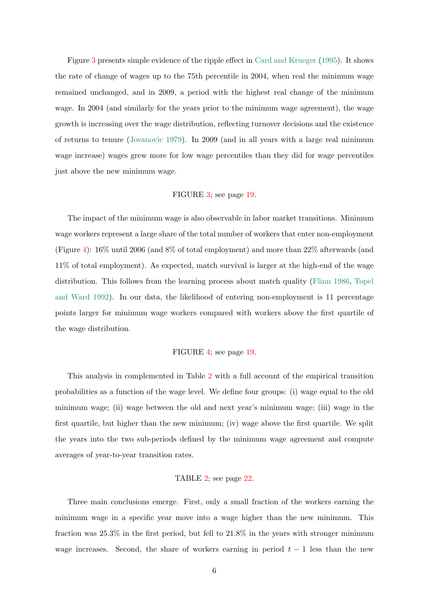Figure [3](#page-20-0) presents simple evidence of the ripple effect in [Card and Krueger](#page-17-3) [\(1995\)](#page-17-3). It shows the rate of change of wages up to the 75th percentile in 2004, when real the minimum wage remained unchanged, and in 2009, a period with the highest real change of the minimum wage. In 2004 (and similarly for the years prior to the minimum wage agreement), the wage growth is increasing over the wage distribution, reflecting turnover decisions and the existence of returns to tenure [\(Jovanovic](#page-18-2) [1979\)](#page-18-2). In 2009 (and in all years with a large real minimum wage increase) wages grew more for low wage percentiles than they did for wage percentiles just above the new minimum wage.

#### FIGURE [3;](#page-20-0) see page [19.](#page-20-0)

The impact of the minimum wage is also observable in labor market transitions. Minimum wage workers represent a large share of the total number of workers that enter non-employment (Figure [4\)](#page-20-1): 16% until 2006 (and 8% of total employment) and more than 22% afterwards (and 11% of total employment). As expected, match survival is larger at the high-end of the wage distribution. This follows from the learning process about match quality [\(Flinn](#page-17-7) [1986,](#page-17-7) [Topel](#page-18-3) [and Ward](#page-18-3) [1992\)](#page-18-3). In our data, the likelihood of entering non-employment is 11 percentage points larger for minimum wage workers compared with workers above the first quartile of the wage distribution.

#### FIGURE [4;](#page-20-1) see page [19.](#page-20-1)

This analysis in complemented in Table [2](#page-23-0) with a full account of the empirical transition probabilities as a function of the wage level. We define four groups: (i) wage equal to the old minimum wage; (ii) wage between the old and next year's minimum wage; (iii) wage in the first quartile, but higher than the new minimum; (iv) wage above the first quartile. We split the years into the two sub-periods defined by the minimum wage agreement and compute averages of year-to-year transition rates.

#### TABLE [2;](#page-23-0) see page [22.](#page-23-0)

Three main conclusions emerge. First, only a small fraction of the workers earning the minimum wage in a specific year move into a wage higher than the new minimum. This fraction was 25.3% in the first period, but fell to 21.8% in the years with stronger minimum wage increases. Second, the share of workers earning in period  $t - 1$  less than the new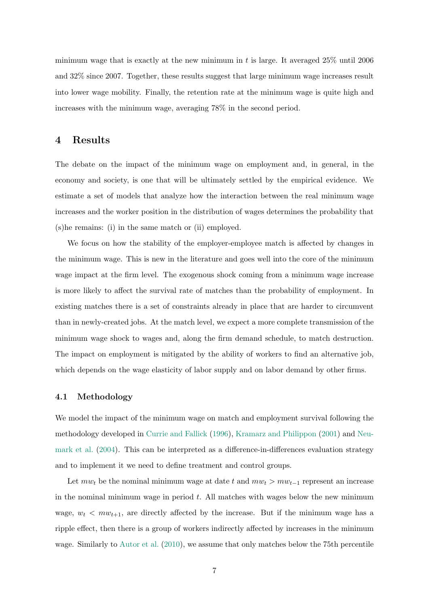minimum wage that is exactly at the new minimum in t is large. It averaged 25% until 2006 and 32% since 2007. Together, these results suggest that large minimum wage increases result into lower wage mobility. Finally, the retention rate at the minimum wage is quite high and increases with the minimum wage, averaging 78% in the second period.

### 4 Results

The debate on the impact of the minimum wage on employment and, in general, in the economy and society, is one that will be ultimately settled by the empirical evidence. We estimate a set of models that analyze how the interaction between the real minimum wage increases and the worker position in the distribution of wages determines the probability that (s)he remains: (i) in the same match or (ii) employed.

We focus on how the stability of the employer-employee match is affected by changes in the minimum wage. This is new in the literature and goes well into the core of the minimum wage impact at the firm level. The exogenous shock coming from a minimum wage increase is more likely to affect the survival rate of matches than the probability of employment. In existing matches there is a set of constraints already in place that are harder to circumvent than in newly-created jobs. At the match level, we expect a more complete transmission of the minimum wage shock to wages and, along the firm demand schedule, to match destruction. The impact on employment is mitigated by the ability of workers to find an alternative job, which depends on the wage elasticity of labor supply and on labor demand by other firms.

#### 4.1 Methodology

We model the impact of the minimum wage on match and employment survival following the methodology developed in [Currie and Fallick](#page-17-8) [\(1996\)](#page-17-8), [Kramarz and Philippon](#page-18-5) [\(2001\)](#page-18-5) and [Neu](#page-18-4)[mark et al.](#page-18-4) [\(2004\)](#page-18-4). This can be interpreted as a difference-in-differences evaluation strategy and to implement it we need to define treatment and control groups.

Let  $mw_t$  be the nominal minimum wage at date t and  $mw_t > mw_{t-1}$  represent an increase in the nominal minimum wage in period  $t$ . All matches with wages below the new minimum wage,  $w_t < m w_{t+1}$ , are directly affected by the increase. But if the minimum wage has a ripple effect, then there is a group of workers indirectly affected by increases in the minimum wage. Similarly to [Autor et al.](#page-17-6) [\(2010\)](#page-17-6), we assume that only matches below the 75th percentile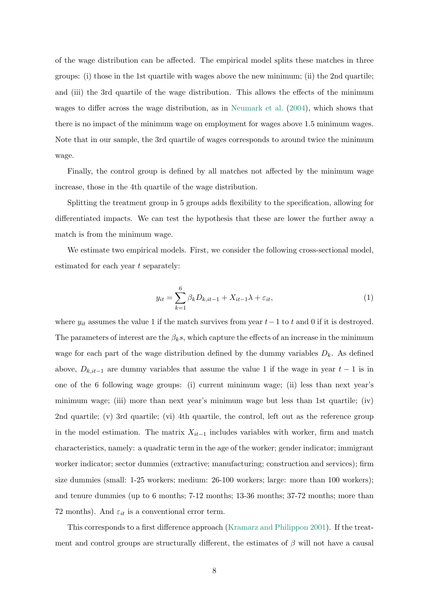of the wage distribution can be affected. The empirical model splits these matches in three groups: (i) those in the 1st quartile with wages above the new minimum; (ii) the 2nd quartile; and (iii) the 3rd quartile of the wage distribution. This allows the effects of the minimum wages to differ across the wage distribution, as in [Neumark et al.](#page-18-4) [\(2004\)](#page-18-4), which shows that there is no impact of the minimum wage on employment for wages above 1.5 minimum wages. Note that in our sample, the 3rd quartile of wages corresponds to around twice the minimum wage.

Finally, the control group is defined by all matches not affected by the minimum wage increase, those in the 4th quartile of the wage distribution.

Splitting the treatment group in 5 groups adds flexibility to the specification, allowing for differentiated impacts. We can test the hypothesis that these are lower the further away a match is from the minimum wage.

We estimate two empirical models. First, we consider the following cross-sectional model, estimated for each year t separately:

$$
y_{it} = \sum_{k=1}^{6} \beta_k D_{k, it-1} + X_{it-1} \lambda + \varepsilon_{it}, \tag{1}
$$

where  $y_{it}$  assumes the value 1 if the match survives from year  $t-1$  to t and 0 if it is destroyed. The parameters of interest are the  $\beta_k s$ , which capture the effects of an increase in the minimum wage for each part of the wage distribution defined by the dummy variables  $D_k$ . As defined above,  $D_{k, it-1}$  are dummy variables that assume the value 1 if the wage in year  $t-1$  is in one of the 6 following wage groups: (i) current minimum wage; (ii) less than next year's minimum wage; (iii) more than next year's minimum wage but less than 1st quartile; (iv) 2nd quartile; (v) 3rd quartile; (vi) 4th quartile, the control, left out as the reference group in the model estimation. The matrix  $X_{it-1}$  includes variables with worker, firm and match characteristics, namely: a quadratic term in the age of the worker; gender indicator; immigrant worker indicator; sector dummies (extractive; manufacturing; construction and services); firm size dummies (small: 1-25 workers; medium: 26-100 workers; large: more than 100 workers); and tenure dummies (up to 6 months; 7-12 months; 13-36 months; 37-72 months; more than 72 months). And  $\varepsilon_{it}$  is a conventional error term.

This corresponds to a first difference approach [\(Kramarz and Philippon](#page-18-5) [2001\)](#page-18-5). If the treatment and control groups are structurally different, the estimates of  $\beta$  will not have a causal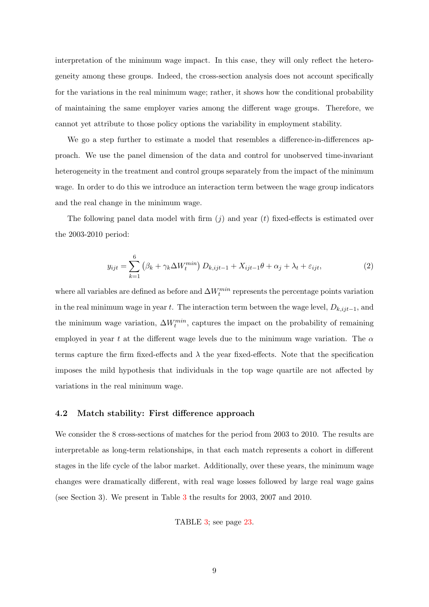interpretation of the minimum wage impact. In this case, they will only reflect the heterogeneity among these groups. Indeed, the cross-section analysis does not account specifically for the variations in the real minimum wage; rather, it shows how the conditional probability of maintaining the same employer varies among the different wage groups. Therefore, we cannot yet attribute to those policy options the variability in employment stability.

We go a step further to estimate a model that resembles a difference-in-differences approach. We use the panel dimension of the data and control for unobserved time-invariant heterogeneity in the treatment and control groups separately from the impact of the minimum wage. In order to do this we introduce an interaction term between the wage group indicators and the real change in the minimum wage.

The following panel data model with firm  $(j)$  and year  $(t)$  fixed-effects is estimated over the 2003-2010 period:

$$
y_{ijt} = \sum_{k=1}^{6} \left(\beta_k + \gamma_k \Delta W_t^{min}\right) D_{k,ijt-1} + X_{ijt-1}\theta + \alpha_j + \lambda_t + \varepsilon_{ijt},\tag{2}
$$

where all variables are defined as before and  $\Delta W_t^{min}$  represents the percentage points variation in the real minimum wage in year t. The interaction term between the wage level,  $D_{k,ijt-1}$ , and the minimum wage variation,  $\Delta W_t^{min}$ , captures the impact on the probability of remaining employed in year t at the different wage levels due to the minimum wage variation. The  $\alpha$ terms capture the firm fixed-effects and  $\lambda$  the year fixed-effects. Note that the specification imposes the mild hypothesis that individuals in the top wage quartile are not affected by variations in the real minimum wage.

### 4.2 Match stability: First difference approach

We consider the 8 cross-sections of matches for the period from 2003 to 2010. The results are interpretable as long-term relationships, in that each match represents a cohort in different stages in the life cycle of the labor market. Additionally, over these years, the minimum wage changes were dramatically different, with real wage losses followed by large real wage gains (see Section 3). We present in Table [3](#page-24-0) the results for 2003, 2007 and 2010.

TABLE [3;](#page-24-0) see page [23.](#page-24-0)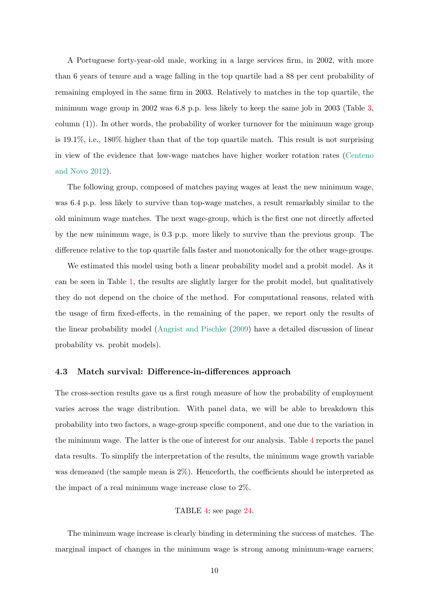A Portuguese forty-year-old male, working in a large services firm, in 2002, with more than 6 years of tenure and a wage falling in the top quartile had a 88 per cent probability of remaining employed in the same firm in 2003. Relatively to matches in the top quartile, the minimum wage group in 2002 was 6.8 p.p. less likely to keep the same job in 2003 (Table [3,](#page-24-0) column (1)). In other words, the probability of worker turnover for the minimum wage group is 19.1%, i.e., 180% higher than that of the top quartile match. This result is not surprising in view of the evidence that low-wage matches have higher worker rotation rates [\(Centeno](#page-17-9) [and Novo](#page-17-9) [2012\)](#page-17-9).

The following group, composed of matches paying wages at least the new minimum wage, was 6.4 p.p. less likely to survive than top-wage matches, a result remarkably similar to the old minimum wage matches. The next wage-group, which is the first one not directly affected by the new minimum wage, is 0.3 p.p. more likely to survive than the previous group. The difference relative to the top quartile falls faster and monotonically for the other wage-groups.

We estimated this model using both a linear probability model and a probit model. As it can be seen in Table [1,](#page-22-0) the results are slightly larger for the probit model, but qualitatively they do not depend on the choice of the method. For computational reasons, related with the usage of firm fixed-effects, in the remaining of the paper, we report only the results of the linear probability model [\(Angrist and Pischke](#page-17-10) [\(2009\)](#page-17-10) have a detailed discussion of linear probability vs. probit models).

#### 4.3 Match survival: Difference-in-differences approach

The cross-section results gave us a first rough measure of how the probability of employment varies across the wage distribution. With panel data, we will be able to breakdown this probability into two factors, a wage-group specific component, and one due to the variation in the minimum wage. The latter is the one of interest for our analysis. Table [4](#page-25-0) reports the panel data results. To simplify the interpretation of the results, the minimum wage growth variable was demeaned (the sample mean is 2%). Henceforth, the coefficients should be interpreted as the impact of a real minimum wage increase close to 2%.

#### TABLE [4;](#page-25-0) see page [24.](#page-25-0)

The minimum wage increase is clearly binding in determining the success of matches. The marginal impact of changes in the minimum wage is strong among minimum-wage earners;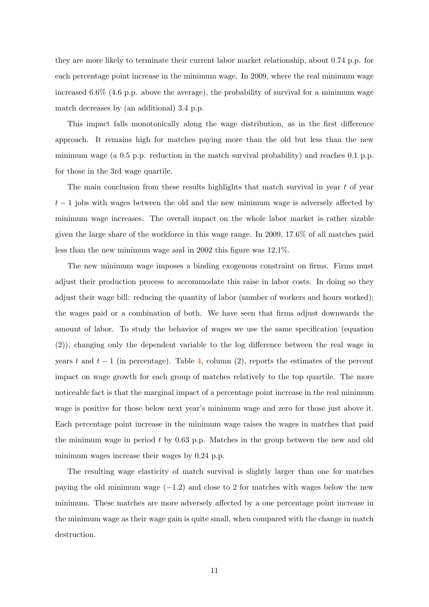they are more likely to terminate their current labor market relationship, about 0.74 p.p. for each percentage point increase in the minimum wage. In 2009, where the real minimum wage increased 6.6% (4.6 p.p. above the average), the probability of survival for a minimum wage match decreases by (an additional) 3.4 p.p.

This impact falls monotonically along the wage distribution, as in the first difference approach. It remains high for matches paying more than the old but less than the new minimum wage (a 0.5 p.p. reduction in the match survival probability) and reaches 0.1 p.p. for those in the 3rd wage quartile.

The main conclusion from these results highlights that match survival in year  $t$  of year  $t-1$  jobs with wages between the old and the new minimum wage is adversely affected by minimum wage increases. The overall impact on the whole labor market is rather sizable given the large share of the workforce in this wage range. In 2009, 17.6% of all matches paid less than the new minimum wage and in 2002 this figure was 12.1%.

The new minimum wage imposes a binding exogenous constraint on firms. Firms must adjust their production process to accommodate this raise in labor costs. In doing so they adjust their wage bill: reducing the quantity of labor (number of workers and hours worked); the wages paid or a combination of both. We have seen that firms adjust downwards the amount of labor. To study the behavior of wages we use the same specification (equation (2)), changing only the dependent variable to the log difference between the real wage in years t and  $t-1$  (in percentage). Table [4,](#page-25-0) column (2), reports the estimates of the percent impact on wage growth for each group of matches relatively to the top quartile. The more noticeable fact is that the marginal impact of a percentage point increase in the real minimum wage is positive for those below next year's minimum wage and zero for those just above it. Each percentage point increase in the minimum wage raises the wages in matches that paid the minimum wage in period  $t$  by 0.63 p.p. Matches in the group between the new and old minimum wages increase their wages by 0.24 p.p.

The resulting wage elasticity of match survival is slightly larger than one for matches paying the old minimum wage  $(-1.2)$  and close to 2 for matches with wages below the new minimum. These matches are more adversely affected by a one percentage point increase in the minimum wage as their wage gain is quite small, when compared with the change in match destruction.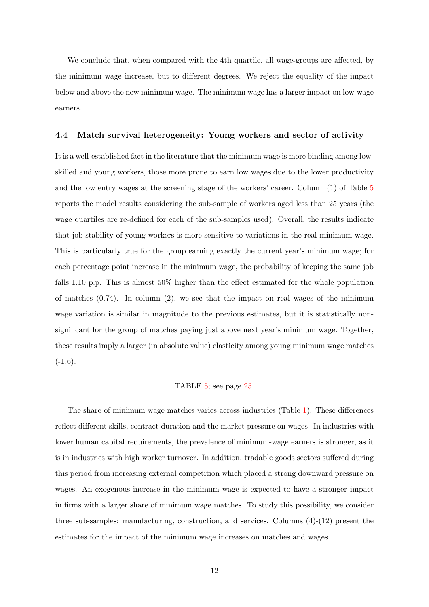We conclude that, when compared with the 4<sup>th</sup> quartile, all wage-groups are affected, by the minimum wage increase, but to different degrees. We reject the equality of the impact below and above the new minimum wage. The minimum wage has a larger impact on low-wage earners.

#### 4.4 Match survival heterogeneity: Young workers and sector of activity

It is a well-established fact in the literature that the minimum wage is more binding among lowskilled and young workers, those more prone to earn low wages due to the lower productivity and the low entry wages at the screening stage of the workers' career. Column (1) of Table [5](#page-26-0) reports the model results considering the sub-sample of workers aged less than 25 years (the wage quartiles are re-defined for each of the sub-samples used). Overall, the results indicate that job stability of young workers is more sensitive to variations in the real minimum wage. This is particularly true for the group earning exactly the current year's minimum wage; for each percentage point increase in the minimum wage, the probability of keeping the same job falls 1.10 p.p. This is almost 50% higher than the effect estimated for the whole population of matches  $(0.74)$ . In column  $(2)$ , we see that the impact on real wages of the minimum wage variation is similar in magnitude to the previous estimates, but it is statistically nonsignificant for the group of matches paying just above next year's minimum wage. Together, these results imply a larger (in absolute value) elasticity among young minimum wage matches  $(-1.6).$ 

#### TABLE [5;](#page-26-0) see page [25.](#page-26-0)

The share of minimum wage matches varies across industries (Table [1\)](#page-22-0). These differences reflect different skills, contract duration and the market pressure on wages. In industries with lower human capital requirements, the prevalence of minimum-wage earners is stronger, as it is in industries with high worker turnover. In addition, tradable goods sectors suffered during this period from increasing external competition which placed a strong downward pressure on wages. An exogenous increase in the minimum wage is expected to have a stronger impact in firms with a larger share of minimum wage matches. To study this possibility, we consider three sub-samples: manufacturing, construction, and services. Columns (4)-(12) present the estimates for the impact of the minimum wage increases on matches and wages.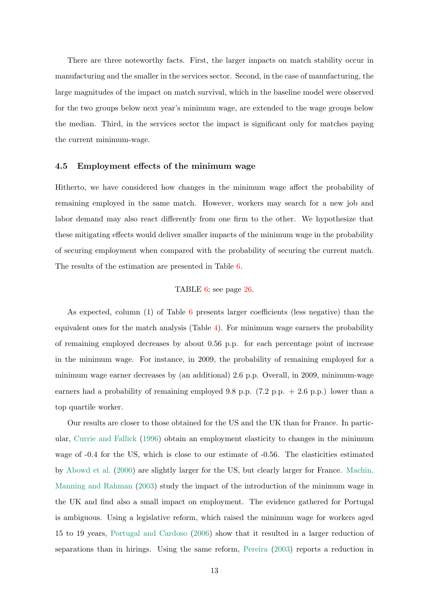There are three noteworthy facts. First, the larger impacts on match stability occur in manufacturing and the smaller in the services sector. Second, in the case of manufacturing, the large magnitudes of the impact on match survival, which in the baseline model were observed for the two groups below next year's minimum wage, are extended to the wage groups below the median. Third, in the services sector the impact is significant only for matches paying the current minimum-wage.

#### 4.5 Employment effects of the minimum wage

Hitherto, we have considered how changes in the minimum wage affect the probability of remaining employed in the same match. However, workers may search for a new job and labor demand may also react differently from one firm to the other. We hypothesize that these mitigating effects would deliver smaller impacts of the minimum wage in the probability of securing employment when compared with the probability of securing the current match. The results of the estimation are presented in Table [6.](#page-27-0)

#### TABLE [6;](#page-27-0) see page [26.](#page-27-0)

As expected, column (1) of Table [6](#page-27-0) presents larger coefficients (less negative) than the equivalent ones for the match analysis (Table [4\)](#page-25-0). For minimum wage earners the probability of remaining employed decreases by about 0.56 p.p. for each percentage point of increase in the minimum wage. For instance, in 2009, the probability of remaining employed for a minimum wage earner decreases by (an additional) 2.6 p.p. Overall, in 2009, minimum-wage earners had a probability of remaining employed 9.8 p.p.  $(7.2 \text{ p.p. } + 2.6 \text{ p.p.})$  lower than a top quartile worker.

Our results are closer to those obtained for the US and the UK than for France. In particular, [Currie and Fallick](#page-17-8) [\(1996\)](#page-17-8) obtain an employment elasticity to changes in the minimum wage of -0.4 for the US, which is close to our estimate of -0.56. The elasticities estimated by [Abowd et al.](#page-17-5) [\(2000\)](#page-17-5) are slightly larger for the US, but clearly larger for France. [Machin,](#page-18-7) [Manning and Rahman](#page-18-7) [\(2003\)](#page-18-7) study the impact of the introduction of the minimum wage in the UK and find also a small impact on employment. The evidence gathered for Portugal is ambiguous. Using a legislative reform, which raised the minimum wage for workers aged 15 to 19 years, [Portugal and Cardoso](#page-18-8) [\(2006\)](#page-18-8) show that it resulted in a larger reduction of separations than in hirings. Using the same reform, [Pereira](#page-18-9) [\(2003\)](#page-18-9) reports a reduction in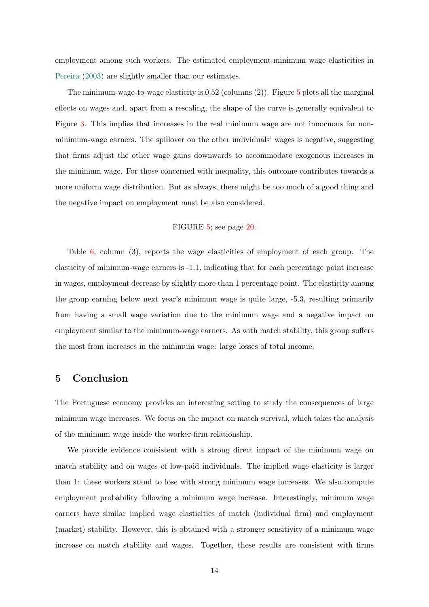employment among such workers. The estimated employment-minimum wage elasticities in [Pereira](#page-18-9) [\(2003\)](#page-18-9) are slightly smaller than our estimates.

The minimum-wage-to-wage elasticity is  $0.52$  $0.52$  $0.52$  (columns  $(2)$ ). Figure  $5$  plots all the marginal effects on wages and, apart from a rescaling, the shape of the curve is generally equivalent to Figure [3.](#page-20-0) This implies that increases in the real minimum wage are not innocuous for nonminimum-wage earners. The spillover on the other individuals' wages is negative, suggesting that firms adjust the other wage gains downwards to accommodate exogenous increases in the minimum wage. For those concerned with inequality, this outcome contributes towards a more uniform wage distribution. But as always, there might be too much of a good thing and the negative impact on employment must be also considered.

#### FIGURE [5;](#page-21-0) see page [20.](#page-21-0)

Table [6,](#page-27-0) column (3), reports the wage elasticities of employment of each group. The elasticity of minimum-wage earners is -1.1, indicating that for each percentage point increase in wages, employment decrease by slightly more than 1 percentage point. The elasticity among the group earning below next year's minimum wage is quite large, -5.3, resulting primarily from having a small wage variation due to the minimum wage and a negative impact on employment similar to the minimum-wage earners. As with match stability, this group suffers the most from increases in the minimum wage: large losses of total income.

# 5 Conclusion

The Portuguese economy provides an interesting setting to study the consequences of large minimum wage increases. We focus on the impact on match survival, which takes the analysis of the minimum wage inside the worker-firm relationship.

We provide evidence consistent with a strong direct impact of the minimum wage on match stability and on wages of low-paid individuals. The implied wage elasticity is larger than 1: these workers stand to lose with strong minimum wage increases. We also compute employment probability following a minimum wage increase. Interestingly, minimum wage earners have similar implied wage elasticities of match (individual firm) and employment (market) stability. However, this is obtained with a stronger sensitivity of a minimum wage increase on match stability and wages. Together, these results are consistent with firms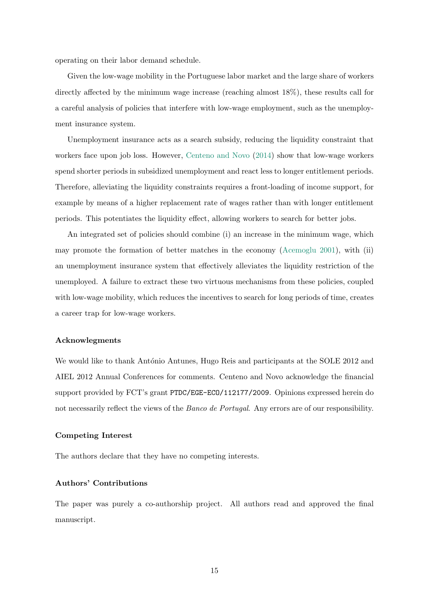operating on their labor demand schedule.

Given the low-wage mobility in the Portuguese labor market and the large share of workers directly affected by the minimum wage increase (reaching almost 18%), these results call for a careful analysis of policies that interfere with low-wage employment, such as the unemployment insurance system.

Unemployment insurance acts as a search subsidy, reducing the liquidity constraint that workers face upon job loss. However, [Centeno and Novo](#page-17-11) [\(2014\)](#page-17-11) show that low-wage workers spend shorter periods in subsidized unemployment and react less to longer entitlement periods. Therefore, alleviating the liquidity constraints requires a front-loading of income support, for example by means of a higher replacement rate of wages rather than with longer entitlement periods. This potentiates the liquidity effect, allowing workers to search for better jobs.

An integrated set of policies should combine (i) an increase in the minimum wage, which may promote the formation of better matches in the economy [\(Acemoglu](#page-17-1) [2001\)](#page-17-1), with (ii) an unemployment insurance system that effectively alleviates the liquidity restriction of the unemployed. A failure to extract these two virtuous mechanisms from these policies, coupled with low-wage mobility, which reduces the incentives to search for long periods of time, creates a career trap for low-wage workers.

#### Acknowlegments

We would like to thank António Antunes, Hugo Reis and participants at the SOLE 2012 and AIEL 2012 Annual Conferences for comments. Centeno and Novo acknowledge the financial support provided by FCT's grant PTDC/EGE-ECO/112177/2009. Opinions expressed herein do not necessarily reflect the views of the *Banco de Portugal*. Any errors are of our responsibility.

#### Competing Interest

The authors declare that they have no competing interests.

#### Authors' Contributions

The paper was purely a co-authorship project. All authors read and approved the final manuscript.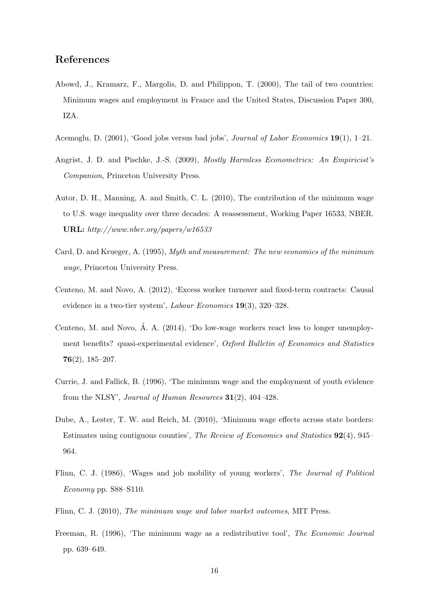## References

- <span id="page-17-5"></span>Abowd, J., Kramarz, F., Margolis, D. and Philippon, T. (2000), The tail of two countries: Minimum wages and employment in France and the United States, Discussion Paper 300, IZA.
- <span id="page-17-1"></span>Acemoglu, D. (2001), 'Good jobs versus bad jobs', Journal of Labor Economics 19(1), 1–21.
- <span id="page-17-10"></span>Angrist, J. D. and Pischke, J.-S. (2009), Mostly Harmless Econometrics: An Empiricist's Companion, Princeton University Press.
- <span id="page-17-6"></span>Autor, D. H., Manning, A. and Smith, C. L. (2010), The contribution of the minimum wage to U.S. wage inequality over three decades: A reassessment, Working Paper 16533, NBER. URL: http://www.nber.org/papers/w16533
- <span id="page-17-3"></span>Card, D. and Krueger, A. (1995), Myth and measurement: The new economics of the minimum wage, Princeton University Press.
- <span id="page-17-9"></span>Centeno, M. and Novo, A. (2012), 'Excess worker turnover and fixed-term contracts: Causal evidence in a two-tier system', Labour Economics 19(3), 320–328.
- <span id="page-17-11"></span>Centeno, M. and Novo,  $\acute{A}$ . A. (2014), 'Do low-wage workers react less to longer unemployment benefits? quasi-experimental evidence', Oxford Bulletin of Economics and Statistics 76(2), 185–207.
- <span id="page-17-8"></span>Currie, J. and Fallick, B. (1996), 'The minimum wage and the employment of youth evidence from the NLSY', Journal of Human Resources 31(2), 404–428.
- <span id="page-17-4"></span>Dube, A., Lester, T. W. and Reich, M. (2010), 'Minimum wage effects across state borders: Estimates using contiguous counties', The Review of Economics and Statistics 92(4), 945– 964.
- <span id="page-17-7"></span>Flinn, C. J. (1986), 'Wages and job mobility of young workers', The Journal of Political Economy pp. S88–S110.
- <span id="page-17-0"></span>Flinn, C. J. (2010), The minimum wage and labor market outcomes, MIT Press.
- <span id="page-17-2"></span>Freeman, R. (1996), 'The minimum wage as a redistributive tool', The Economic Journal pp. 639–649.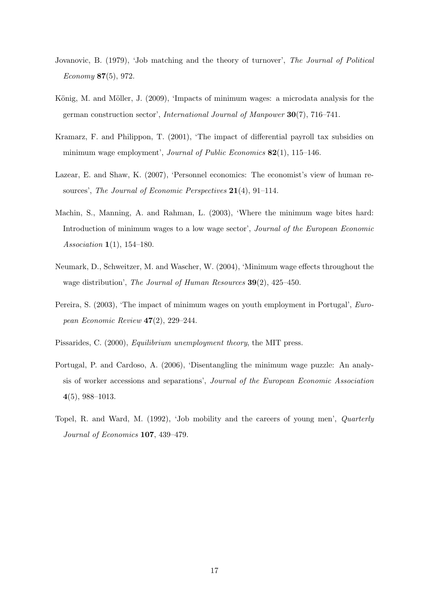- <span id="page-18-2"></span>Jovanovic, B. (1979), 'Job matching and the theory of turnover', The Journal of Political Economy 87(5), 972.
- <span id="page-18-6"></span>König, M. and Möller, J. (2009), 'Impacts of minimum wages: a microdata analysis for the german construction sector', International Journal of Manpower 30(7), 716–741.
- <span id="page-18-5"></span>Kramarz, F. and Philippon, T. (2001), 'The impact of differential payroll tax subsidies on minimum wage employment', Journal of Public Economics 82(1), 115-146.
- <span id="page-18-1"></span>Lazear, E. and Shaw, K. (2007), 'Personnel economics: The economist's view of human resources', The Journal of Economic Perspectives 21(4), 91–114.
- <span id="page-18-7"></span>Machin, S., Manning, A. and Rahman, L. (2003), 'Where the minimum wage bites hard: Introduction of minimum wages to a low wage sector', Journal of the European Economic Association 1(1), 154–180.
- <span id="page-18-4"></span>Neumark, D., Schweitzer, M. and Wascher, W. (2004), 'Minimum wage effects throughout the wage distribution', The Journal of Human Resources 39(2), 425–450.
- <span id="page-18-9"></span>Pereira, S. (2003), 'The impact of minimum wages on youth employment in Portugal', European Economic Review 47(2), 229–244.
- <span id="page-18-0"></span>Pissarides, C. (2000), Equilibrium unemployment theory, the MIT press.
- <span id="page-18-8"></span>Portugal, P. and Cardoso, A. (2006), 'Disentangling the minimum wage puzzle: An analysis of worker accessions and separations', Journal of the European Economic Association 4(5), 988–1013.
- <span id="page-18-3"></span>Topel, R. and Ward, M. (1992), 'Job mobility and the careers of young men', Quarterly Journal of Economics 107, 439–479.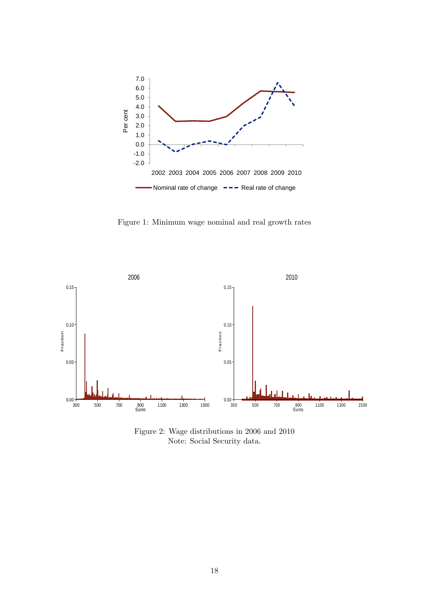<span id="page-19-0"></span>

Figure 1: Minimum wage nominal and real growth rates

<span id="page-19-1"></span>

Figure 2: Wage distributions in 2006 and 2010 Note: Social Security data.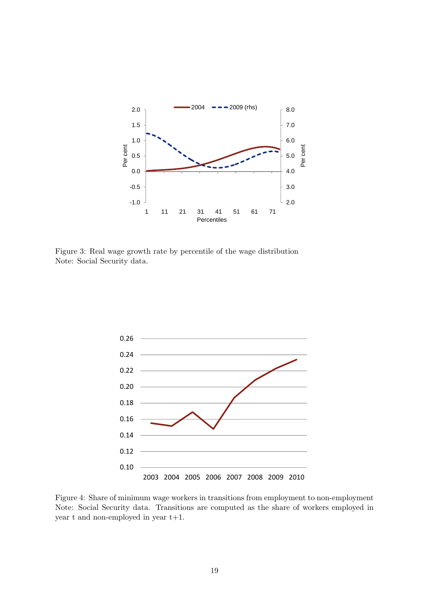<span id="page-20-0"></span>

Figure 3: Real wage growth rate by percentile of the wage distribution Note: Social Security data.

<span id="page-20-1"></span>

Figure 4: Share of minimum wage workers in transitions from employment to non-employment Note: Social Security data. Transitions are computed as the share of workers employed in year t and non-employed in year t+1.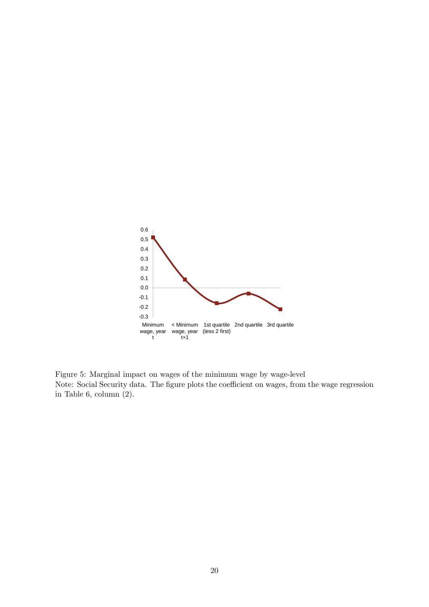<span id="page-21-0"></span>

Figure 5: Marginal impact on wages of the minimum wage by wage-level Note: Social Security data. The figure plots the coefficient on wages, from the wage regression in Table 6, column (2).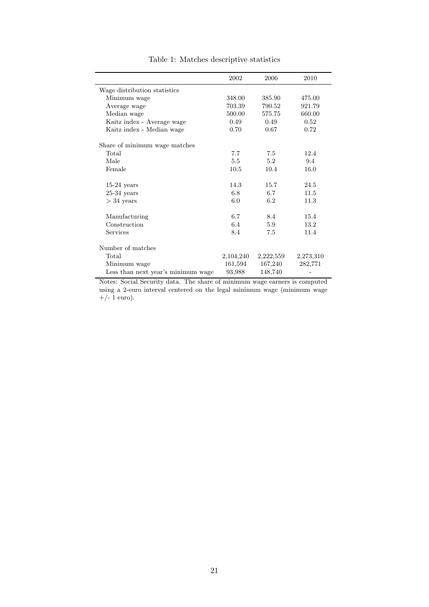<span id="page-22-0"></span>

|                                    | 2002      | 2006      | 2010      |
|------------------------------------|-----------|-----------|-----------|
| Wage distribution statistics       |           |           |           |
| Minimum wage                       | 348.00    | 385.90    | 475.00    |
| Average wage                       | 703.39    | 790.52    | 921.79    |
| Median wage                        | 500.00    | 575.75    | 660.00    |
| Kaitz index - Average wage         | 0.49      | 0.49      | 0.52      |
| Kaitz index - Median wage          | 0.70      | 0.67      | 0.72      |
| Share of minimum wage matches      |           |           |           |
| Total                              | 7.7       | 7.5       | 12.4      |
| Male                               | 5.5       | 5.2       | 9.4       |
| Female                             | 10.5      | 10.4      | 16.0      |
| $15-24$ years                      | 14.3      | 15.7      | 24.5      |
| $25-34$ years                      | 6.8       | 6.7       | 11.5      |
| $>$ 34 years                       | 6.0       | 6.2       | 11.3      |
| Manufacturing                      | 6.7       | 8.4       | 15.4      |
| Construction                       | 6.4       | 5.9       | 13.2      |
| <b>Services</b>                    | 8.4       | 7.5       | 11.4      |
| Number of matches                  |           |           |           |
| Total                              | 2,104,240 | 2,222,559 | 2,273,310 |
| Minimum wage                       | 161,594   | 167,240   | 282,771   |
| Less than next year's minimum wage | 93,988    | 148,740   |           |

Table 1: Matches descriptive statistics

Notes: Social Security data. The share of minimum wage earners is computed using a 2-euro interval centered on the legal minimum wage (minimum wage  $+/- 1$  euro).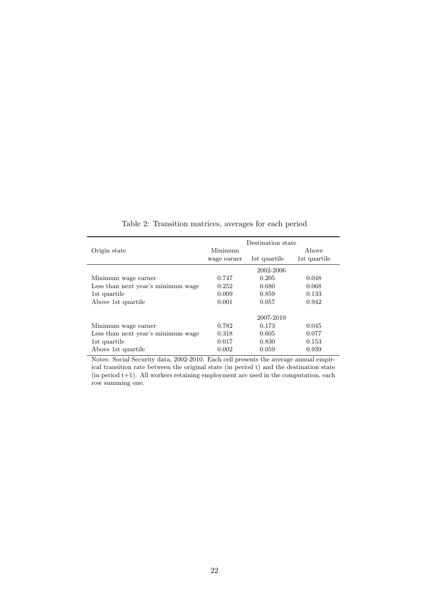<span id="page-23-0"></span>

|                                    | Destination state |              |              |  |
|------------------------------------|-------------------|--------------|--------------|--|
| Origin state                       | Minimum           |              | Above        |  |
|                                    | wage earner       | 1st quartile | 1st quartile |  |
|                                    |                   | 2002-2006    |              |  |
| Minimum wage earner                | 0.747             | 0.205        | 0.048        |  |
| Less than next year's minimum wage | 0.252             | 0.680        | 0.068        |  |
| 1st quartile                       | 0.009             | 0.859        | 0.133        |  |
| Above 1st quartile                 | 0.001             | 0.057        | 0.942        |  |
|                                    |                   | 2007-2010    |              |  |
| Minimum wage earner                | 0.782             | 0.173        | 0.045        |  |
| Less than next year's minimum wage | 0.318             | 0.605        | 0.077        |  |
| 1st quartile                       | 0.017             | 0.830        | 0.153        |  |
| Above 1st quartile                 | 0.002             | 0.059        | 0.939        |  |

Table 2: Transition matrices, averages for each period

Notes: Social Security data, 2002-2010. Each cell presents the average annual empirical transition rate between the original state (in period t) and the destination state (in period t+1). All workers retaining employment are used in the computation, each row summing one.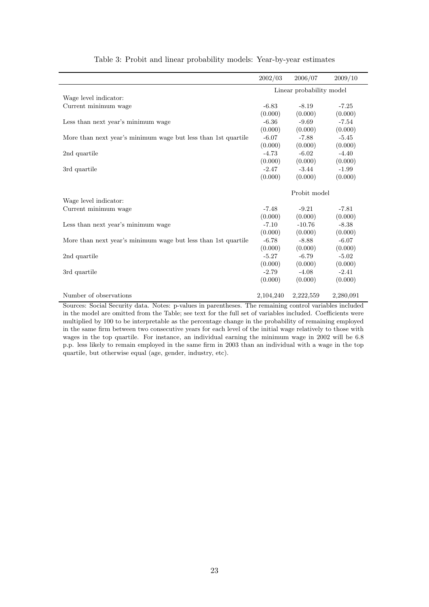<span id="page-24-0"></span>

|                                                               | 2002/03   | 2006/07                  | 2009/10   |
|---------------------------------------------------------------|-----------|--------------------------|-----------|
|                                                               |           | Linear probability model |           |
| Wage level indicator:                                         |           |                          |           |
| Current minimum wage                                          | $-6.83$   | $-8.19$                  | $-7.25$   |
|                                                               | (0.000)   | (0.000)                  | (0.000)   |
| Less than next year's minimum wage                            | $-6.36$   | $-9.69$                  | $-7.54$   |
|                                                               | (0.000)   | (0.000)                  | (0.000)   |
| More than next year's minimum wage but less than 1st quartile | $-6.07$   | $-7.88$                  | $-5.45$   |
|                                                               | (0.000)   | (0.000)                  | (0.000)   |
| 2nd quartile                                                  | $-4.73$   | $-6.02$                  | $-4.40$   |
|                                                               | (0.000)   | (0.000)                  | (0.000)   |
| 3rd quartile                                                  | $-2.47$   | $-3.44$                  | $-1.99$   |
|                                                               | (0.000)   | (0.000)                  | (0.000)   |
|                                                               |           | Probit model             |           |
| Wage level indicator:                                         |           |                          |           |
| Current minimum wage                                          | $-7.48$   | $-9.21$                  | $-7.81$   |
|                                                               | (0.000)   | (0.000)                  | (0.000)   |
| Less than next year's minimum wage                            | $-7.10$   | $-10.76$                 | $-8.38$   |
|                                                               | (0.000)   | (0.000)                  | (0.000)   |
| More than next year's minimum wage but less than 1st quartile | $-6.78$   | $-8.88$                  | $-6.07$   |
|                                                               | (0.000)   | (0.000)                  | (0.000)   |
| 2nd quartile                                                  | $-5.27$   | $-6.79$                  | $-5.02$   |
|                                                               | (0.000)   | (0.000)                  | (0.000)   |
| 3rd quartile                                                  | $-2.79$   | $-4.08$                  | $-2.41$   |
|                                                               | (0.000)   | (0.000)                  | (0.000)   |
| Number of observations                                        | 2,104,240 | 2,222,559                | 2,280,091 |

#### Table 3: Probit and linear probability models: Year-by-year estimates

Sources: Social Security data. Notes: p-values in parentheses. The remaining control variables included in the model are omitted from the Table; see text for the full set of variables included. Coefficients were multiplied by 100 to be interpretable as the percentage change in the probability of remaining employed in the same firm between two consecutive years for each level of the initial wage relatively to those with wages in the top quartile. For instance, an individual earning the minimum wage in 2002 will be 6.8 p.p. less likely to remain employed in the same firm in 2003 than an individual with a wage in the top quartile, but otherwise equal (age, gender, industry, etc).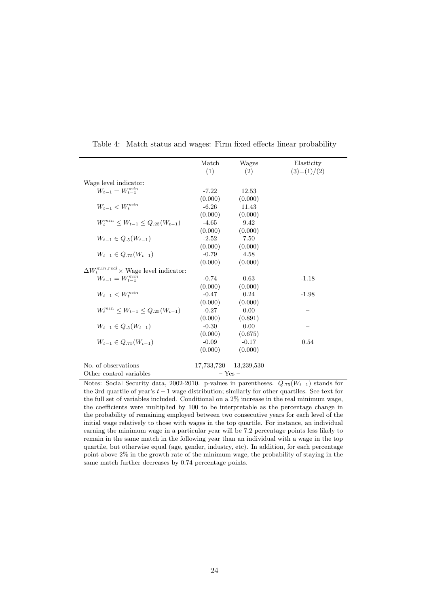<span id="page-25-0"></span>

|                                                                     | Match   | Wages                                  | Elasticity                          |
|---------------------------------------------------------------------|---------|----------------------------------------|-------------------------------------|
|                                                                     | (1)     | (2)                                    | $(3)=(1)/(2)$                       |
| Wage level indicator:                                               |         |                                        |                                     |
| $W_{t-1} = W_{t-1}^{min}$                                           | $-7.22$ | 12.53                                  |                                     |
|                                                                     | (0.000) | (0.000)                                |                                     |
| $W_{t-1} < W_{\boldsymbol{t}}^{min}$                                | $-6.26$ | 11.43                                  |                                     |
|                                                                     | (0.000) | (0.000)                                |                                     |
| $W_t^{min} \leq W_{t-1} \leq Q_{.25}(W_{t-1})$                      | $-4.65$ | 9.42                                   |                                     |
|                                                                     | (0.000) | (0.000)                                |                                     |
| $W_{t-1} \in Q_{.5}(W_{t-1})$                                       | $-2.52$ | 7.50                                   |                                     |
|                                                                     | (0.000) | (0.000)                                |                                     |
| $W_{t-1} \in Q_{.75}(W_{t-1})$                                      | $-0.79$ | 4.58                                   |                                     |
|                                                                     | (0.000) | (0.000)                                |                                     |
| $\Delta W_t^{min,real} \times$ Wage level indicator:                |         |                                        |                                     |
| $W_{t-1} = W_{t-1}^{min}$                                           | $-0.74$ | 0.63                                   | $-1.18$                             |
|                                                                     | (0.000) | (0.000)                                |                                     |
| $W_{t-1} < W_t^{min}$                                               | $-0.47$ | 0.24                                   | $-1.98$                             |
|                                                                     | (0.000) | (0.000)                                |                                     |
| $W_t^{min} \leq W_{t-1} \leq Q_{.25}(W_{t-1})$                      | $-0.27$ | 0.00                                   |                                     |
|                                                                     | (0.000) | (0.891)                                |                                     |
| $W_{t-1} \in Q_{.5}(W_{t-1})$                                       | $-0.30$ | 0.00                                   |                                     |
|                                                                     | (0.000) | (0.675)                                |                                     |
| $W_{t-1} \in Q_{75}(W_{t-1})$                                       | $-0.09$ | $-0.17$                                | 0.54                                |
|                                                                     | (0.000) | (0.000)                                |                                     |
| No. of observations                                                 |         | 17,733,720 13,239,530                  |                                     |
| Other control variables<br>Matao, Casial Casumity data<br>വെറെ വെ വ |         | $-$ Yes $-$<br>w selmaa in waxaatkaaaa | (TIT)<br>$\lambda$ otomala for<br>⌒ |

Table 4: Match status and wages: Firm fixed effects linear probability

Notes: Social Security data, 2002-2010. p-values in parentheses.  $Q_{.75}(W_{t-1})$  stands for the 3rd quartile of year's  $t - 1$  wage distribution; similarly for other quartiles. See text for the full set of variables included. Conditional on a 2% increase in the real minimum wage, the coefficients were multiplied by 100 to be interpretable as the percentage change in the probability of remaining employed between two consecutive years for each level of the initial wage relatively to those with wages in the top quartile. For instance, an individual earning the minimum wage in a particular year will be 7.2 percentage points less likely to remain in the same match in the following year than an individual with a wage in the top quartile, but otherwise equal (age, gender, industry, etc). In addition, for each percentage point above 2% in the growth rate of the minimum wage, the probability of staying in the same match further decreases by 0.74 percentage points.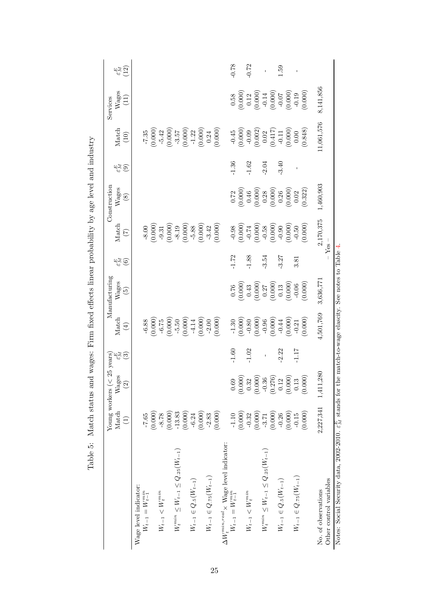<span id="page-26-0"></span>

|                                                                                | Young workers ( $<$  |                              | 25 years)                |                                                                                                                        | Manufacturing                                                                                                                          |                                  |                                                                                                                                                                                                                                                                                                         | Construction                                                                                                                                                          |                                         |                                                                                                                                                      | Services                                                                                                                                                                     |                                 |
|--------------------------------------------------------------------------------|----------------------|------------------------------|--------------------------|------------------------------------------------------------------------------------------------------------------------|----------------------------------------------------------------------------------------------------------------------------------------|----------------------------------|---------------------------------------------------------------------------------------------------------------------------------------------------------------------------------------------------------------------------------------------------------------------------------------------------------|-----------------------------------------------------------------------------------------------------------------------------------------------------------------------|-----------------------------------------|------------------------------------------------------------------------------------------------------------------------------------------------------|------------------------------------------------------------------------------------------------------------------------------------------------------------------------------|---------------------------------|
|                                                                                | Match<br>$\bigoplus$ | ۵ò<br>Wages<br>$\widehat{c}$ | $\frac{1}{2}\frac{1}{2}$ | Match<br>$\left( 4\right)$                                                                                             | Wages<br>$\widetilde{5}$                                                                                                               | $\frac{E}{\omega}$ $\frac{5}{2}$ | Match<br>$\widetilde{C}$                                                                                                                                                                                                                                                                                | Wages<br>(8)                                                                                                                                                          | $\mathbb{E}_{\widetilde{H}}$<br>$\odot$ | Match<br>(10)                                                                                                                                        | $Wages$<br>(11)                                                                                                                                                              | $\frac{E}{\omega}$ <sup>E</sup> |
| Wage level indicator:                                                          |                      |                              |                          |                                                                                                                        |                                                                                                                                        |                                  |                                                                                                                                                                                                                                                                                                         |                                                                                                                                                                       |                                         |                                                                                                                                                      |                                                                                                                                                                              |                                 |
| $W_{t-1} = W_{t-1}^{min}$                                                      | $-7.65$              |                              |                          |                                                                                                                        |                                                                                                                                        |                                  |                                                                                                                                                                                                                                                                                                         |                                                                                                                                                                       |                                         |                                                                                                                                                      |                                                                                                                                                                              |                                 |
|                                                                                | (0.000)              |                              |                          | $-6.88$<br>(0.000)                                                                                                     |                                                                                                                                        |                                  |                                                                                                                                                                                                                                                                                                         |                                                                                                                                                                       |                                         |                                                                                                                                                      |                                                                                                                                                                              |                                 |
| $W_{t-1} < W_t^{min}$                                                          | $-8.78$              |                              |                          |                                                                                                                        |                                                                                                                                        |                                  |                                                                                                                                                                                                                                                                                                         |                                                                                                                                                                       |                                         |                                                                                                                                                      |                                                                                                                                                                              |                                 |
|                                                                                | (0.000)              |                              |                          | $\begin{array}{r} -6.75 \\ (0.000) \\ -5.50 \\ (0.000) \\ (0.000) \\ -4.14 \\ (0.000) \\ -2.00 \\ (0.000) \end{array}$ |                                                                                                                                        |                                  | $\begin{array}{c} -8.00 \\ (0.000) \\ (0.000) \\ -9.31 \\ (0.000) \\ -8.19 \\ (0.000) \\ -5.88 \\ (0.000) \\ (0.000) \\ (0.000) \\ \end{array}$                                                                                                                                                         |                                                                                                                                                                       |                                         | $\begin{array}{c} -7.35 \\ (0.000) \\ -5.42 \\ (0.000) \\ -3.57 \\ (0.000) \\ -1.22 \\ (0.000) \\ (0.000) \\ (0.000) \\ (0.000) \end{array}$         |                                                                                                                                                                              |                                 |
| $W^{min}_t \leq W_{t-1} \leq Q_{.25}(W_{t-1})$                                 | $-13.83$             |                              |                          |                                                                                                                        |                                                                                                                                        |                                  |                                                                                                                                                                                                                                                                                                         |                                                                                                                                                                       |                                         |                                                                                                                                                      |                                                                                                                                                                              |                                 |
|                                                                                | (0.000)              |                              |                          |                                                                                                                        |                                                                                                                                        |                                  |                                                                                                                                                                                                                                                                                                         |                                                                                                                                                                       |                                         |                                                                                                                                                      |                                                                                                                                                                              |                                 |
| $W_{t-1}\in Q_{.5}(W_{t-1})$                                                   | $-6.24$              |                              |                          |                                                                                                                        |                                                                                                                                        |                                  |                                                                                                                                                                                                                                                                                                         |                                                                                                                                                                       |                                         |                                                                                                                                                      |                                                                                                                                                                              |                                 |
|                                                                                | (0.000)              |                              |                          |                                                                                                                        |                                                                                                                                        |                                  |                                                                                                                                                                                                                                                                                                         |                                                                                                                                                                       |                                         |                                                                                                                                                      |                                                                                                                                                                              |                                 |
| $W_{t-1}\in Q_{.75}(W_{t-1})$                                                  | $-2.83$              |                              |                          |                                                                                                                        |                                                                                                                                        |                                  |                                                                                                                                                                                                                                                                                                         |                                                                                                                                                                       |                                         |                                                                                                                                                      |                                                                                                                                                                              |                                 |
|                                                                                | (0.000)              |                              |                          |                                                                                                                        |                                                                                                                                        |                                  |                                                                                                                                                                                                                                                                                                         |                                                                                                                                                                       |                                         |                                                                                                                                                      |                                                                                                                                                                              |                                 |
| $\Delta W^{min,real}_t \times$ Wage level indicator: $W_{t-1} = W^{min}_{t-1}$ |                      |                              |                          |                                                                                                                        |                                                                                                                                        |                                  |                                                                                                                                                                                                                                                                                                         |                                                                                                                                                                       |                                         |                                                                                                                                                      |                                                                                                                                                                              |                                 |
|                                                                                | $-1.10$              | 0.69                         | $-1.60$                  |                                                                                                                        |                                                                                                                                        | $-1.72$                          |                                                                                                                                                                                                                                                                                                         |                                                                                                                                                                       | $-1.36$                                 |                                                                                                                                                      |                                                                                                                                                                              | $-0.78$                         |
|                                                                                | (0.000)              | (0.000)                      |                          | $-1.30$<br>(0.000)                                                                                                     |                                                                                                                                        |                                  |                                                                                                                                                                                                                                                                                                         |                                                                                                                                                                       |                                         |                                                                                                                                                      |                                                                                                                                                                              |                                 |
| $W_{t-1} < W_t^{\min}$                                                         | $-0.32$              | 0.32                         | $-1.02$                  |                                                                                                                        |                                                                                                                                        | 1.88                             |                                                                                                                                                                                                                                                                                                         |                                                                                                                                                                       | 1.62                                    |                                                                                                                                                      |                                                                                                                                                                              | $-0.72$                         |
|                                                                                | (0.000)              | (0.000)                      |                          | $\begin{array}{c} -0.80 \\ (0.000) \\ -0.96 \\ (0.000) \\ -0.44 \\ (0.000) \\ -0.21 \end{array}$                       |                                                                                                                                        |                                  |                                                                                                                                                                                                                                                                                                         |                                                                                                                                                                       |                                         |                                                                                                                                                      |                                                                                                                                                                              |                                 |
| $W^{min}_t \leq W_{t-1} \leq Q_{.25}(W_{t-1})$                                 | $-3.71$              | $-0.36$                      | $\overline{1}$           |                                                                                                                        |                                                                                                                                        | 3.54                             |                                                                                                                                                                                                                                                                                                         |                                                                                                                                                                       | 2.04                                    |                                                                                                                                                      |                                                                                                                                                                              |                                 |
|                                                                                | (0.000)              | (0.276)                      |                          |                                                                                                                        |                                                                                                                                        |                                  |                                                                                                                                                                                                                                                                                                         |                                                                                                                                                                       |                                         |                                                                                                                                                      |                                                                                                                                                                              |                                 |
| $W_{t-1}\in Q_{.5}(W_{t-1})$                                                   | $-0.26$              | 0.12                         | $-2.22$                  |                                                                                                                        |                                                                                                                                        | 3.27                             |                                                                                                                                                                                                                                                                                                         |                                                                                                                                                                       | 3.40                                    |                                                                                                                                                      |                                                                                                                                                                              | 0.51                            |
|                                                                                | (0.000)              | (0.000)                      |                          |                                                                                                                        |                                                                                                                                        |                                  |                                                                                                                                                                                                                                                                                                         |                                                                                                                                                                       |                                         |                                                                                                                                                      |                                                                                                                                                                              |                                 |
| $W_{t-1} \in Q_{.75}(W_{t-1})$                                                 | $-0.15$              | 0.13                         | $-1.17$                  |                                                                                                                        |                                                                                                                                        | 3.81                             |                                                                                                                                                                                                                                                                                                         |                                                                                                                                                                       | $\mathsf I$                             |                                                                                                                                                      |                                                                                                                                                                              | Ï                               |
|                                                                                | (0.000)              | (0.000)                      |                          | (0.000)                                                                                                                | $\begin{array}{c} 0.76 \\ 0.000 \\ 0.43 \\ 0.000 \\ 0.27 \\ 0.13 \\ 0.000 \\ 0.000 \\ 0.000 \\ 0.000 \\ 0.000 \\ 0.000 \\ \end{array}$ |                                  | $\begin{array}{c} 0.98 \\ -0.000 \\ 0.000 \\ -0.74 \\ 0.000 \\ 0.000 \\ -0.58 \\ 0.000 \\ -0.000 \\ 0.000 \\ 0.000 \\ 0.000 \\ 0.000 \\ 0.000 \\ 0.000 \\ 0.000 \\ 0.000 \\ 0.000 \\ 0.000 \\ 0.000 \\ 0.000 \\ 0.000 \\ 0.000 \\ 0.000 \\ 0.000 \\ 0.000 \\ 0.000 \\ 0.000 \\ 0.000 \\ 0.000 \\ 0.000$ | $\begin{array}{c} 0.72 \\ 0.000 \\ 0.46 \\ 0.000 \\ 0.28 \\ 0.28 \\ 0.000 \\ 0.000 \\ 0.000 \\ 0.000 \\ 0.02 \\ 0.02 \\ 0.02 \\ 0.02 \\ 0.02 \\ 0.032 \\ \end{array}$ |                                         | $\begin{array}{c} -0.45 \\ (0.000) \\ (0.000) \\ (0.002) \\ (0.02) \\ (0.417) \\ (0.417) \\ (0.000) \\ (0.000) \\ (0.000) \\ (0.848) \\ \end{array}$ | $\begin{array}{c} 0.58 \\ 0.000 \\ 0.12 \\ 0.000 \\ -0.14 \\ 0.000 \\ 0.000 \\ 0.000 \\ 0.000 \\ 0.000 \\ 0.000 \\ 0.000 \\ 0.000 \\ 0.000 \\ 0.000 \\ 0.000 \\ \end{array}$ |                                 |
| Other control variables<br>No. of observations                                 | 2,227,341            | 80<br>1,411,2                |                          | 4,501,769                                                                                                              | 3,636,771                                                                                                                              |                                  | 2,170,375<br>$Y$ es                                                                                                                                                                                                                                                                                     | 1,460,903                                                                                                                                                             |                                         | 1,061,576                                                                                                                                            | 8,141,856                                                                                                                                                                    |                                 |

Table 5: Match status and wages: Firm fixed effects linear probability by age level and industry Table 5: Match status and wages: Firm fixed effects linear probability by age level and industry